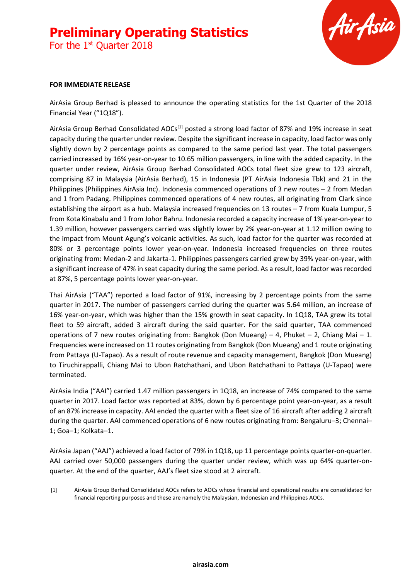For the 1<sup>st</sup> Quarter 2018



#### **FOR IMMEDIATE RELEASE**

AirAsia Group Berhad is pleased to announce the operating statistics for the 1st Quarter of the 2018 Financial Year ("1Q18").

AirAsia Group Berhad Consolidated AOCs<sup>[1]</sup> posted a strong load factor of 87% and 19% increase in seat capacity during the quarter under review. Despite the significant increase in capacity, load factor was only slightly down by 2 percentage points as compared to the same period last year. The total passengers carried increased by 16% year-on-year to 10.65 million passengers, in line with the added capacity. In the quarter under review, AirAsia Group Berhad Consolidated AOCs total fleet size grew to 123 aircraft, comprising 87 in Malaysia (AirAsia Berhad), 15 in Indonesia (PT AirAsia Indonesia Tbk) and 21 in the Philippines (Philippines AirAsia Inc). Indonesia commenced operations of 3 new routes – 2 from Medan and 1 from Padang. Philippines commenced operations of 4 new routes, all originating from Clark since establishing the airport as a hub. Malaysia increased frequencies on 13 routes – 7 from Kuala Lumpur, 5 from Kota Kinabalu and 1 from Johor Bahru. Indonesia recorded a capacity increase of 1% year-on-year to 1.39 million, however passengers carried was slightly lower by 2% year-on-year at 1.12 million owing to the impact from Mount Agung's volcanic activities. As such, load factor for the quarter was recorded at 80% or 3 percentage points lower year-on-year. Indonesia increased frequencies on three routes originating from: Medan-2 and Jakarta-1. Philippines passengers carried grew by 39% year-on-year, with a significant increase of 47% in seat capacity during the same period. As a result, load factor was recorded at 87%, 5 percentage points lower year-on-year.

Thai AirAsia ("TAA") reported a load factor of 91%, increasing by 2 percentage points from the same quarter in 2017. The number of passengers carried during the quarter was 5.64 million, an increase of 16% year-on-year, which was higher than the 15% growth in seat capacity. In 1Q18, TAA grew its total fleet to 59 aircraft, added 3 aircraft during the said quarter. For the said quarter, TAA commenced operations of 7 new routes originating from: Bangkok (Don Mueang) – 4, Phuket – 2, Chiang Mai – 1. Frequencies were increased on 11 routes originating from Bangkok (Don Mueang) and 1 route originating from Pattaya (U-Tapao). As a result of route revenue and capacity management, Bangkok (Don Mueang) to Tiruchirappalli, Chiang Mai to Ubon Ratchathani, and Ubon Ratchathani to Pattaya (U-Tapao) were terminated.

AirAsia India ("AAI") carried 1.47 million passengers in 1Q18, an increase of 74% compared to the same quarter in 2017. Load factor was reported at 83%, down by 6 percentage point year-on-year, as a result of an 87% increase in capacity. AAI ended the quarter with a fleet size of 16 aircraft after adding 2 aircraft during the quarter. AAI commenced operations of 6 new routes originating from: Bengaluru–3; Chennai– 1; Goa–1; Kolkata–1.

AirAsia Japan ("AAJ") achieved a load factor of 79% in 1Q18, up 11 percentage points quarter-on-quarter. AAJ carried over 50,000 passengers during the quarter under review, which was up 64% quarter-onquarter. At the end of the quarter, AAJ's fleet size stood at 2 aircraft.

[1] AirAsia Group Berhad Consolidated AOCs refers to AOCs whose financial and operational results are consolidated for financial reporting purposes and these are namely the Malaysian, Indonesian and Philippines AOCs.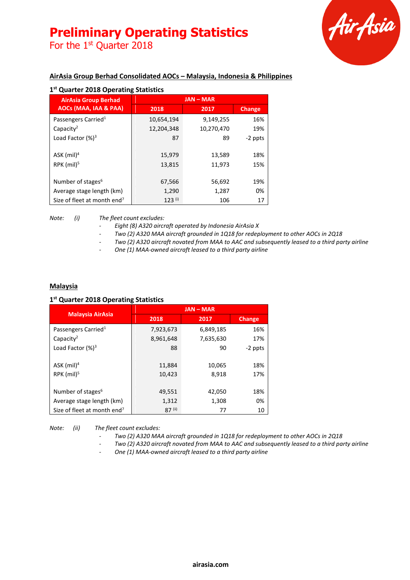### **Preliminary Operating Statistics** For the 1<sup>st</sup> Quarter 2018

Air Asia

#### **AirAsia Group Berhad Consolidated AOCs – Malaysia, Indonesia & Philippines**

| <b>AirAsia Group Berhad</b><br>AOCs (MAA, IAA & PAA) | $JAN - MAR$ |            |         |
|------------------------------------------------------|-------------|------------|---------|
|                                                      | 2018        | 2017       | Change  |
| Passengers Carried <sup>1</sup>                      | 10,654,194  | 9,149,255  | 16%     |
| Capacity <sup>2</sup>                                | 12,204,348  | 10,270,470 | 19%     |
| Load Factor $(%)^3$                                  | 87          | 89         | -2 ppts |
| ASK (mil) <sup>4</sup>                               | 15,979      | 13,589     | 18%     |
| $RPK$ (mil) <sup>5</sup>                             | 13,815      | 11,973     | 15%     |
| Number of stages <sup>6</sup>                        | 67,566      | 56,692     | 19%     |
| Average stage length (km)                            | 1,290       | 1,287      | 0%      |
| Size of fleet at month end <sup>7</sup>              | $123$ (i)   | 106        | 17      |

*Note: (i) The fleet count excludes:*

- *- Eight (8) A320 aircraft operated by Indonesia AirAsia X*
	- *- Two (2) A320 MAA aircraft grounded in 1Q18 for redeployment to other AOCs in 2Q18*
- *- Two (2) A320 aircraft novated from MAA to AAC and subsequently leased to a third party airline*
- *- One (1) MAA-owned aircraft leased to a third party airline*

#### **Malaysia**

#### **1 st Quarter 2018 Operating Statistics**

| <b>Malaysia AirAsia</b>                 | <b>JAN-MAR</b> |           |         |
|-----------------------------------------|----------------|-----------|---------|
|                                         | 2018           | 2017      | Change  |
| Passengers Carried <sup>1</sup>         | 7,923,673      | 6,849,185 | 16%     |
| Capacity <sup>2</sup>                   | 8,961,648      | 7,635,630 | 17%     |
| Load Factor $(%)^3$                     | 88             | 90        | -2 ppts |
|                                         |                |           |         |
| ASK $(mil)^4$                           | 11,884         | 10,065    | 18%     |
| RPK $(mil)^5$                           | 10,423         | 8,918     | 17%     |
|                                         |                |           |         |
| Number of stages <sup>6</sup>           | 49,551         | 42,050    | 18%     |
| Average stage length (km)               | 1,312          | 1,308     | 0%      |
| Size of fleet at month end <sup>7</sup> | 87 (ii)        | 77        | 10      |

*Note: (ii) The fleet count excludes:*

- *- Two (2) A320 MAA aircraft grounded in 1Q18 for redeployment to other AOCs in 2Q18*
- *- Two (2) A320 aircraft novated from MAA to AAC and subsequently leased to a third party airline*
- *- One (1) MAA-owned aircraft leased to a third party airline*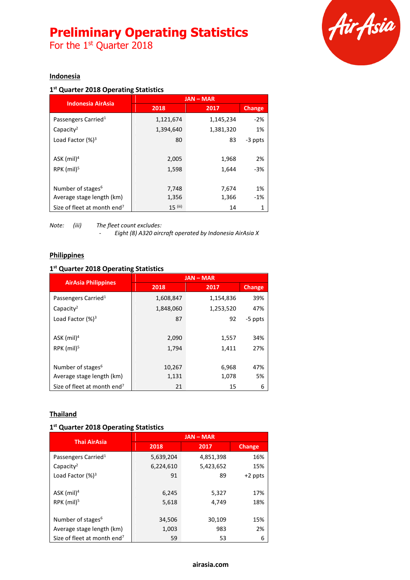For the 1<sup>st</sup> Quarter 2018



#### **Indonesia**

#### **1 st Quarter 2018 Operating Statistics**

| <b>Indonesia AirAsia</b>                | <b>JAN-MAR</b> |           |               |
|-----------------------------------------|----------------|-----------|---------------|
|                                         | 2018           | 2017      | <b>Change</b> |
| Passengers Carried <sup>1</sup>         | 1,121,674      | 1,145,234 | $-2%$         |
| Capacity <sup>2</sup>                   | 1,394,640      | 1,381,320 | 1%            |
| Load Factor $(%)^3$                     | 80             | 83        | -3 ppts       |
|                                         |                |           |               |
| ASK (mil) <sup>4</sup>                  | 2,005          | 1,968     | 2%            |
| RPK (mil) <sup>5</sup>                  | 1,598          | 1,644     | $-3%$         |
|                                         |                |           |               |
| Number of stages <sup>6</sup>           | 7,748          | 7,674     | 1%            |
| Average stage length (km)               | 1,356          | 1,366     | $-1\%$        |
| Size of fleet at month end <sup>7</sup> | $15$ (iii)     | 14        |               |

*Note: (iii) The fleet count excludes:*

*- Eight (8) A320 aircraft operated by Indonesia AirAsia X*

#### **Philippines**

#### **1 st Quarter 2018 Operating Statistics**

| <b>AirAsia Philippines</b>              | <b>JAN-MAR</b> |           |               |
|-----------------------------------------|----------------|-----------|---------------|
|                                         | 2018           | 2017      | <b>Change</b> |
| Passengers Carried <sup>1</sup>         | 1,608,847      | 1,154,836 | 39%           |
| Capacity <sup>2</sup>                   | 1,848,060      | 1,253,520 | 47%           |
| Load Factor $(%)^3$                     | 87             | 92        | -5 ppts       |
|                                         |                |           |               |
| ASK (mil) <sup>4</sup>                  | 2,090          | 1,557     | 34%           |
| RPK $(mil)5$                            | 1,794          | 1,411     | 27%           |
|                                         |                |           |               |
| Number of stages <sup>6</sup>           | 10,267         | 6,968     | 47%           |
| Average stage length (km)               | 1,131          | 1,078     | 5%            |
| Size of fleet at month end <sup>7</sup> | 21             | 15        | 6             |

#### **Thailand**

#### **1 st Quarter 2018 Operating Statistics**

| <b>Thai AirAsia</b>                     | <b>JAN-MAR</b> |           |           |
|-----------------------------------------|----------------|-----------|-----------|
|                                         | 2018           | 2017      | Change    |
| Passengers Carried <sup>1</sup>         | 5,639,204      | 4,851,398 | 16%       |
| Capacity <sup>2</sup>                   | 6,224,610      | 5,423,652 | 15%       |
| Load Factor $(%)^3$                     | 91             | 89        | $+2$ ppts |
|                                         |                |           |           |
| ASK $(mil)^4$                           | 6,245          | 5,327     | 17%       |
| RPK $(mil)^5$                           | 5,618          | 4.749     | 18%       |
|                                         |                |           |           |
| Number of stages <sup>6</sup>           | 34,506         | 30,109    | 15%       |
| Average stage length (km)               | 1,003          | 983       | 2%        |
| Size of fleet at month end <sup>7</sup> | 59             | 53        | 6         |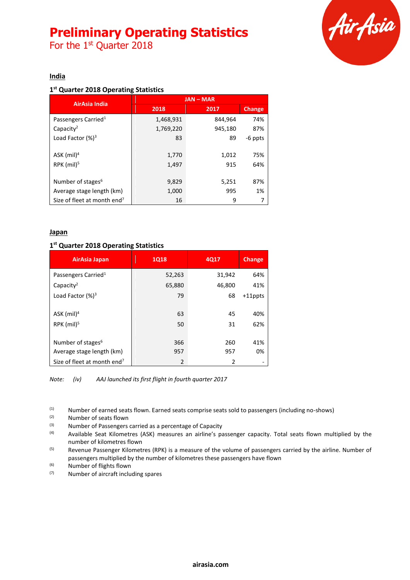For the 1<sup>st</sup> Quarter 2018



#### **India**

#### **1 st Quarter 2018 Operating Statistics**

| AirAsia India                           | <b>JAN-MAR</b> |         |               |
|-----------------------------------------|----------------|---------|---------------|
|                                         | 2018           | 2017    | <b>Change</b> |
| Passengers Carried <sup>1</sup>         | 1,468,931      | 844,964 | 74%           |
| Capacity <sup>2</sup>                   | 1,769,220      | 945,180 | 87%           |
| Load Factor $(%)^3$                     | 83             | 89      | -6 ppts       |
|                                         |                |         |               |
| $ASK$ (mil) <sup>4</sup>                | 1,770          | 1,012   | 75%           |
| $RPK$ (mil) <sup>5</sup>                | 1,497          | 915     | 64%           |
|                                         |                |         |               |
| Number of stages <sup>6</sup>           | 9,829          | 5,251   | 87%           |
| Average stage length (km)               | 1,000          | 995     | 1%            |
| Size of fleet at month end <sup>7</sup> | 16             | 9       | 7             |

#### **Japan**

#### **1 st Quarter 2018 Operating Statistics**

| AirAsia Japan                           | <b>1Q18</b>    | 4Q17   | <b>Change</b> |
|-----------------------------------------|----------------|--------|---------------|
| Passengers Carried <sup>1</sup>         | 52,263         | 31,942 | 64%           |
| Capacity <sup>2</sup>                   | 65,880         | 46,800 | 41%           |
| Load Factor $(%)^3$                     | 79             | 68     | $+11$ ppts    |
|                                         |                |        |               |
| ASK $(mil)^4$                           | 63             | 45     | 40%           |
| RPK (mil) <sup>5</sup>                  | 50             | 31     | 62%           |
|                                         |                |        |               |
| Number of stages <sup>6</sup>           | 366            | 260    | 41%           |
| Average stage length (km)               | 957            | 957    | 0%            |
| Size of fleet at month end <sup>7</sup> | $\overline{2}$ | 2      |               |

*Note: (iv) AAJ launched its first flight in fourth quarter 2017*

(1) Number of earned seats flown. Earned seats comprise seats sold to passengers (including no-shows)  $(2)$  Number of seats flown

 $(2)$  Number of seats flown<br> $(3)$  Number of Passengers

(3)  $\mu$  Number of Passengers carried as a percentage of Capacity<br>(4)  $\mu$  Available Seat Kilometres (ASK) measures an airline's pa

Available Seat Kilometres (ASK) measures an airline's passenger capacity. Total seats flown multiplied by the number of kilometres flown

<sup>(5)</sup> Revenue Passenger Kilometres (RPK) is a measure of the volume of passengers carried by the airline. Number of passengers multiplied by the number of kilometres these passengers have flown

(6) Number of flights flown

(7) Number of aircraft including spares